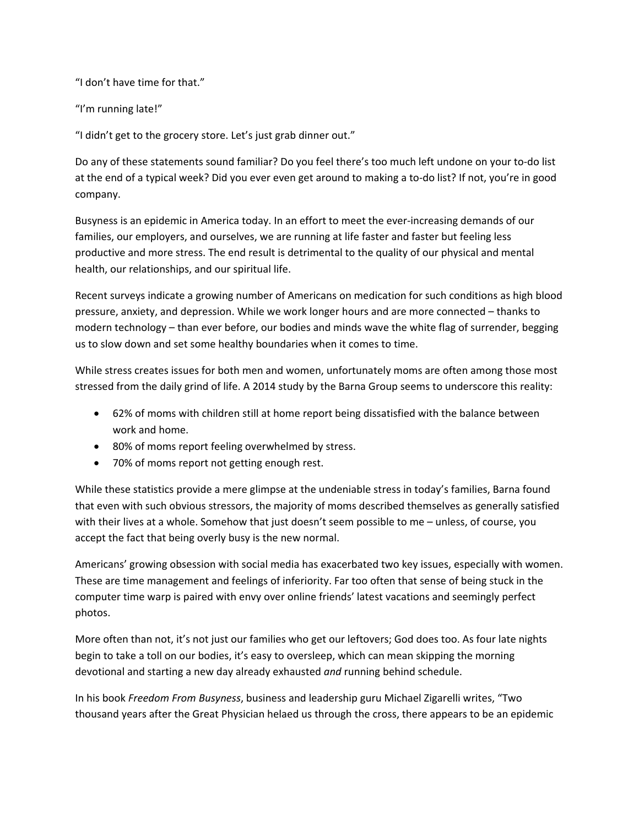"I don't have time for that."

"I'm running late!"

"I didn't get to the grocery store. Let's just grab dinner out."

Do any of these statements sound familiar? Do you feel there's too much left undone on your to‐do list at the end of a typical week? Did you ever even get around to making a to-do list? If not, you're in good company.

Busyness is an epidemic in America today. In an effort to meet the ever-increasing demands of our families, our employers, and ourselves, we are running at life faster and faster but feeling less productive and more stress. The end result is detrimental to the quality of our physical and mental health, our relationships, and our spiritual life.

Recent surveys indicate a growing number of Americans on medication for such conditions as high blood pressure, anxiety, and depression. While we work longer hours and are more connected – thanks to modern technology – than ever before, our bodies and minds wave the white flag of surrender, begging us to slow down and set some healthy boundaries when it comes to time.

While stress creates issues for both men and women, unfortunately moms are often among those most stressed from the daily grind of life. A 2014 study by the Barna Group seems to underscore this reality:

- 62% of moms with children still at home report being dissatisfied with the balance between work and home.
- 80% of moms report feeling overwhelmed by stress.
- 70% of moms report not getting enough rest.

While these statistics provide a mere glimpse at the undeniable stress in today's families, Barna found that even with such obvious stressors, the majority of moms described themselves as generally satisfied with their lives at a whole. Somehow that just doesn't seem possible to me – unless, of course, you accept the fact that being overly busy is the new normal.

Americans' growing obsession with social media has exacerbated two key issues, especially with women. These are time management and feelings of inferiority. Far too often that sense of being stuck in the computer time warp is paired with envy over online friends' latest vacations and seemingly perfect photos.

More often than not, it's not just our families who get our leftovers; God does too. As four late nights begin to take a toll on our bodies, it's easy to oversleep, which can mean skipping the morning devotional and starting a new day already exhausted *and* running behind schedule.

In his book *Freedom From Busyness*, business and leadership guru Michael Zigarelli writes, "Two thousand years after the Great Physician helaed us through the cross, there appears to be an epidemic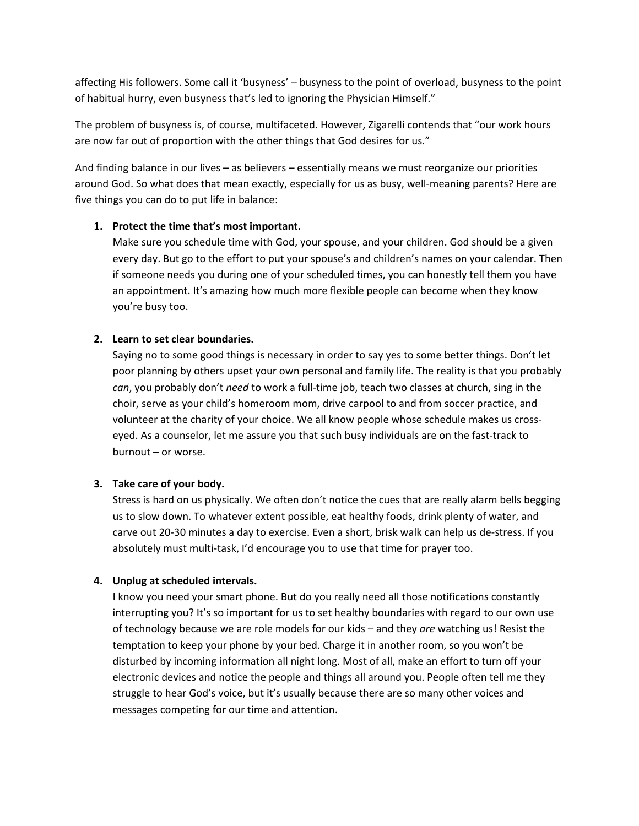affecting His followers. Some call it 'busyness' – busyness to the point of overload, busyness to the point of habitual hurry, even busyness that's led to ignoring the Physician Himself."

The problem of busyness is, of course, multifaceted. However, Zigarelli contends that "our work hours are now far out of proportion with the other things that God desires for us."

And finding balance in our lives – as believers – essentially means we must reorganize our priorities around God. So what does that mean exactly, especially for us as busy, well‐meaning parents? Here are five things you can do to put life in balance:

# **1. Protect the time that's most important.**

Make sure you schedule time with God, your spouse, and your children. God should be a given every day. But go to the effort to put your spouse's and children's names on your calendar. Then if someone needs you during one of your scheduled times, you can honestly tell them you have an appointment. It's amazing how much more flexible people can become when they know you're busy too.

# **2. Learn to set clear boundaries.**

Saying no to some good things is necessary in order to say yes to some better things. Don't let poor planning by others upset your own personal and family life. The reality is that you probably *can*, you probably don't *need* to work a full‐time job, teach two classes at church, sing in the choir, serve as your child's homeroom mom, drive carpool to and from soccer practice, and volunteer at the charity of your choice. We all know people whose schedule makes us cross‐ eyed. As a counselor, let me assure you that such busy individuals are on the fast-track to burnout – or worse.

### **3. Take care of your body.**

Stress is hard on us physically. We often don't notice the cues that are really alarm bells begging us to slow down. To whatever extent possible, eat healthy foods, drink plenty of water, and carve out 20‐30 minutes a day to exercise. Even a short, brisk walk can help us de‐stress. If you absolutely must multi-task, I'd encourage you to use that time for prayer too.

### **4. Unplug at scheduled intervals.**

I know you need your smart phone. But do you really need all those notifications constantly interrupting you? It's so important for us to set healthy boundaries with regard to our own use of technology because we are role models for our kids – and they *are* watching us! Resist the temptation to keep your phone by your bed. Charge it in another room, so you won't be disturbed by incoming information all night long. Most of all, make an effort to turn off your electronic devices and notice the people and things all around you. People often tell me they struggle to hear God's voice, but it's usually because there are so many other voices and messages competing for our time and attention.